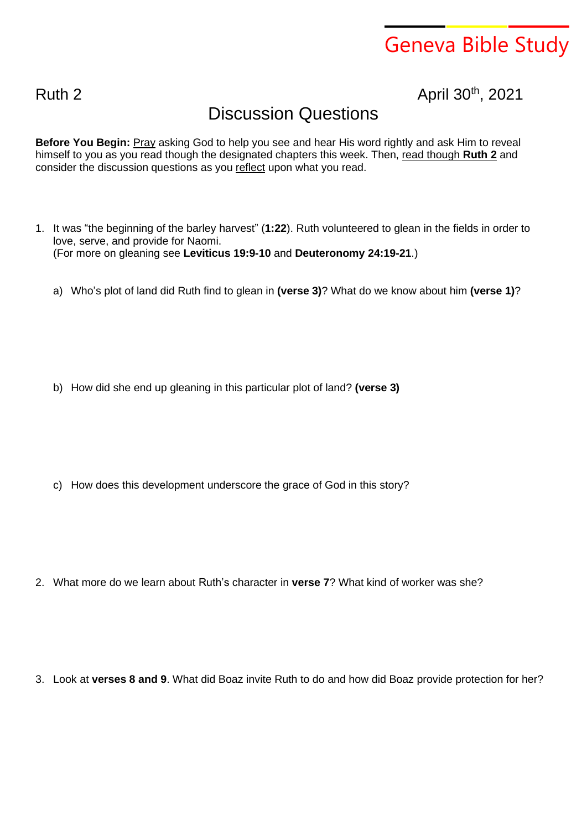## Geneva Bible Study

Ruth 2 April 30<sup>th</sup>, 2021

## Discussion Questions

**Before You Begin:** Pray asking God to help you see and hear His word rightly and ask Him to reveal himself to you as you read though the designated chapters this week. Then, read though **Ruth 2** and consider the discussion questions as you reflect upon what you read.

- 1. It was "the beginning of the barley harvest" (**1:22**). Ruth volunteered to glean in the fields in order to love, serve, and provide for Naomi. (For more on gleaning see **Leviticus 19:9-10** and **Deuteronomy 24:19-21**.)
	- a) Who's plot of land did Ruth find to glean in **(verse 3)**? What do we know about him **(verse 1)**?

b) How did she end up gleaning in this particular plot of land? **(verse 3)**

c) How does this development underscore the grace of God in this story?

2. What more do we learn about Ruth's character in **verse 7**? What kind of worker was she?

3. Look at **verses 8 and 9**. What did Boaz invite Ruth to do and how did Boaz provide protection for her?